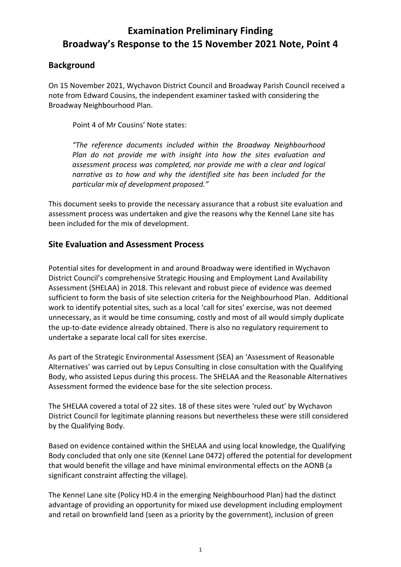# **Examination Preliminary Finding Broadway's Response to the 15 November 2021 Note, Point 4**

#### **Background**

On 15 November 2021, Wychavon District Council and Broadway Parish Council received a note from Edward Cousins, the independent examiner tasked with considering the Broadway Neighbourhood Plan.

Point 4 of Mr Cousins' Note states:

*"The reference documents included within the Broadway Neighbourhood Plan do not provide me with insight into how the sites evaluation and assessment process was completed, nor provide me with a clear and logical narrative as to how and why the identified site has been included for the particular mix of development proposed."*

This document seeks to provide the necessary assurance that a robust site evaluation and assessment process was undertaken and give the reasons why the Kennel Lane site has been included for the mix of development.

#### **Site Evaluation and Assessment Process**

Potential sites for development in and around Broadway were identified in Wychavon District Council's comprehensive Strategic Housing and Employment Land Availability Assessment (SHELAA) in 2018. This relevant and robust piece of evidence was deemed sufficient to form the basis of site selection criteria for the Neighbourhood Plan. Additional work to identify potential sites, such as a local 'call for sites' exercise, was not deemed unnecessary, as it would be time consuming, costly and most of all would simply duplicate the up-to-date evidence already obtained. There is also no regulatory requirement to undertake a separate local call for sites exercise.

As part of the Strategic Environmental Assessment (SEA) an 'Assessment of Reasonable Alternatives' was carried out by Lepus Consulting in close consultation with the Qualifying Body, who assisted Lepus during this process. The SHELAA and the Reasonable Alternatives Assessment formed the evidence base for the site selection process.

The SHELAA covered a total of 22 sites. 18 of these sites were 'ruled out' by Wychavon District Council for legitimate planning reasons but nevertheless these were still considered by the Qualifying Body.

Based on evidence contained within the SHELAA and using local knowledge, the Qualifying Body concluded that only one site (Kennel Lane 0472) offered the potential for development that would benefit the village and have minimal environmental effects on the AONB (a significant constraint affecting the village).

The Kennel Lane site (Policy HD.4 in the emerging Neighbourhood Plan) had the distinct advantage of providing an opportunity for mixed use development including employment and retail on brownfield land (seen as a priority by the government), inclusion of green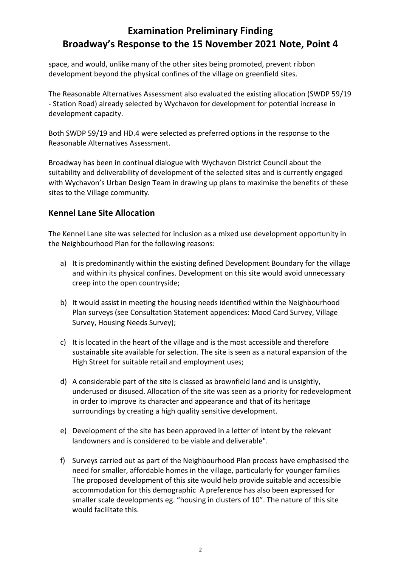# **Examination Preliminary Finding Broadway's Response to the 15 November 2021 Note, Point 4**

space, and would, unlike many of the other sites being promoted, prevent ribbon development beyond the physical confines of the village on greenfield sites.

The Reasonable Alternatives Assessment also evaluated the existing allocation (SWDP 59/19 - Station Road) already selected by Wychavon for development for potential increase in development capacity.

Both SWDP 59/19 and HD.4 were selected as preferred options in the response to the Reasonable Alternatives Assessment.

Broadway has been in continual dialogue with Wychavon District Council about the suitability and deliverability of development of the selected sites and is currently engaged with Wychavon's Urban Design Team in drawing up plans to maximise the benefits of these sites to the Village community.

#### **Kennel Lane Site Allocation**

The Kennel Lane site was selected for inclusion as a mixed use development opportunity in the Neighbourhood Plan for the following reasons:

- a) It is predominantly within the existing defined Development Boundary for the village and within its physical confines. Development on this site would avoid unnecessary creep into the open countryside;
- b) It would assist in meeting the housing needs identified within the Neighbourhood Plan surveys (see Consultation Statement appendices: Mood Card Survey, Village Survey, Housing Needs Survey);
- c) It is located in the heart of the village and is the most accessible and therefore sustainable site available for selection. The site is seen as a natural expansion of the High Street for suitable retail and employment uses;
- d) A considerable part of the site is classed as brownfield land and is unsightly, underused or disused. Allocation of the site was seen as a priority for redevelopment in order to improve its character and appearance and that of its heritage surroundings by creating a high quality sensitive development.
- e) Development of the site has been approved in a letter of intent by the relevant landowners and is considered to be viable and deliverable".
- f) Surveys carried out as part of the Neighbourhood Plan process have emphasised the need for smaller, affordable homes in the village, particularly for younger families The proposed development of this site would help provide suitable and accessible accommodation for this demographic A preference has also been expressed for smaller scale developments eg. "housing in clusters of 10". The nature of this site would facilitate this.